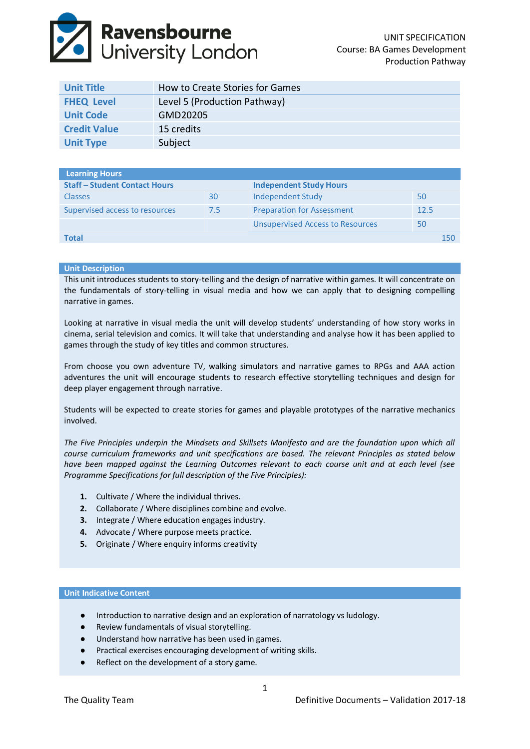# **Ravensbourne**<br>University London

| <b>Unit Title</b>   | How to Create Stories for Games |
|---------------------|---------------------------------|
| <b>FHEQ Level</b>   | Level 5 (Production Pathway)    |
| <b>Unit Code</b>    | GMD20205                        |
| <b>Credit Value</b> | 15 credits                      |
| <b>Unit Type</b>    | Subject                         |

| Learning Hours                       |     |                                         |      |     |
|--------------------------------------|-----|-----------------------------------------|------|-----|
| <b>Staff - Student Contact Hours</b> |     | <b>Independent Study Hours</b>          |      |     |
| <b>Classes</b>                       | 30  | Independent Study                       | 50   |     |
| Supervised access to resources       | 7.5 | <b>Preparation for Assessment</b>       | 12.5 |     |
|                                      |     | <b>Unsupervised Access to Resources</b> | 50   |     |
| Total                                |     |                                         |      | 150 |
|                                      |     |                                         |      |     |

# **Unit Description**

This unit introduces students to story-telling and the design of narrative within games. It will concentrate on the fundamentals of story-telling in visual media and how we can apply that to designing compelling narrative in games.

Looking at narrative in visual media the unit will develop students' understanding of how story works in cinema, serial television and comics. It will take that understanding and analyse how it has been applied to games through the study of key titles and common structures.

From choose you own adventure TV, walking simulators and narrative games to RPGs and AAA action adventures the unit will encourage students to research effective storytelling techniques and design for deep player engagement through narrative.

Students will be expected to create stories for games and playable prototypes of the narrative mechanics involved.

*The Five Principles underpin the Mindsets and Skillsets Manifesto and are the foundation upon which all course curriculum frameworks and unit specifications are based. The relevant Principles as stated below have been mapped against the Learning Outcomes relevant to each course unit and at each level (see Programme Specifications for full description of the Five Principles):*

- **1.** Cultivate / Where the individual thrives.
- **2.** Collaborate / Where disciplines combine and evolve.
- **3.** Integrate / Where education engages industry.
- **4.** Advocate / Where purpose meets practice.
- **5.** Originate / Where enquiry informs creativity

# **Unit Indicative Content**

- Introduction to narrative design and an exploration of narratology vs ludology.
- Review fundamentals of visual storytelling.
- Understand how narrative has been used in games.
- Practical exercises encouraging development of writing skills.
- Reflect on the development of a story game.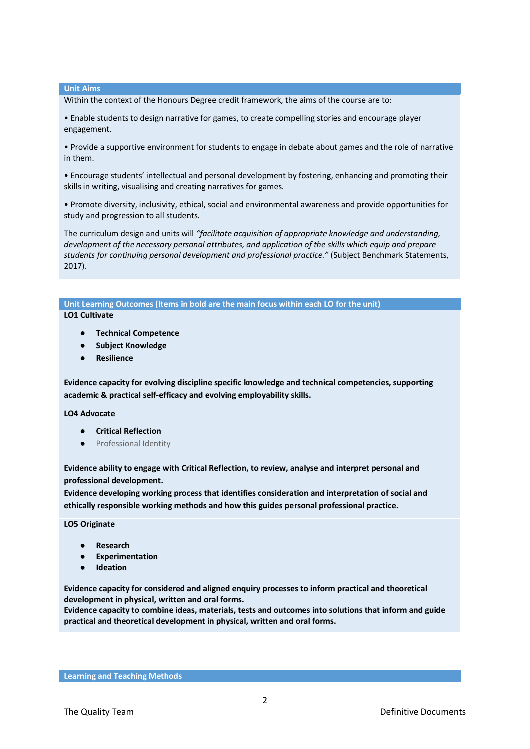## **Unit Aims**

Within the context of the Honours Degree credit framework, the aims of the course are to:

• Enable students to design narrative for games, to create compelling stories and encourage player engagement.

• Provide a supportive environment for students to engage in debate about games and the role of narrative in them.

• Encourage students' intellectual and personal development by fostering, enhancing and promoting their skills in writing, visualising and creating narratives for games.

• Promote diversity, inclusivity, ethical, social and environmental awareness and provide opportunities for study and progression to all students.

The curriculum design and units will *"facilitate acquisition of appropriate knowledge and understanding, development of the necessary personal attributes, and application of the skills which equip and prepare students for continuing personal development and professional practice."* (Subject Benchmark Statements, 2017).

# **Unit Learning Outcomes (Items in bold are the main focus within each LO for the unit)**

# **LO1 Cultivate**

- **Technical Competence**
- **Subject Knowledge**
- **Resilience**

**Evidence capacity for evolving discipline specific knowledge and technical competencies, supporting academic & practical self-efficacy and evolving employability skills.**

# **LO4 Advocate**

- **Critical Reflection**
- Professional Identity

**Evidence ability to engage with Critical Reflection, to review, analyse and interpret personal and professional development.**

**Evidence developing working process that identifies consideration and interpretation of social and ethically responsible working methods and how this guides personal professional practice.**

**LO5 Originate**

- **Research**
- **Experimentation**
- **Ideation**

**Evidence capacity for considered and aligned enquiry processes to inform practical and theoretical development in physical, written and oral forms.**

**Evidence capacity to combine ideas, materials, tests and outcomes into solutions that inform and guide practical and theoretical development in physical, written and oral forms.**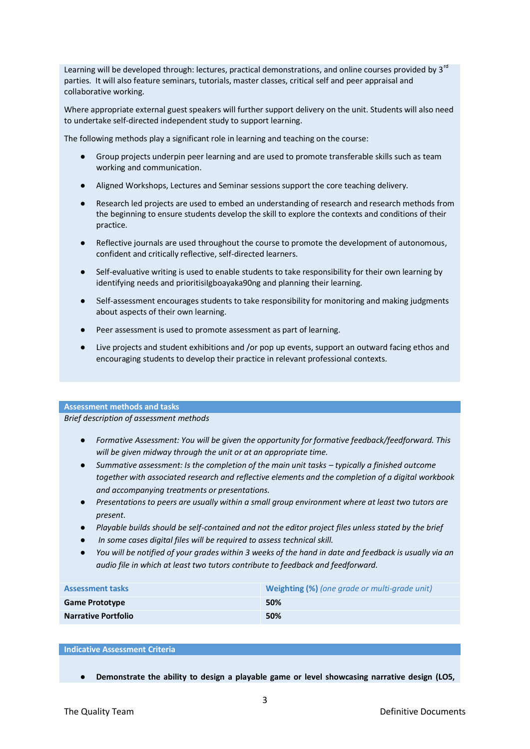Learning will be developed through: lectures, practical demonstrations, and online courses provided by 3<sup>rd</sup> parties. It will also feature seminars, tutorials, master classes, critical self and peer appraisal and collaborative working.

Where appropriate external guest speakers will further support delivery on the unit. Students will also need to undertake self‐directed independent study to support learning.

The following methods play a significant role in learning and teaching on the course:

- Group projects underpin peer learning and are used to promote transferable skills such as team working and communication.
- Aligned Workshops, Lectures and Seminar sessions support the core teaching delivery.
- Research led projects are used to embed an understanding of research and research methods from the beginning to ensure students develop the skill to explore the contexts and conditions of their practice.
- Reflective journals are used throughout the course to promote the development of autonomous, confident and critically reflective, self‐directed learners.
- Self-evaluative writing is used to enable students to take responsibility for their own learning by identifying needs and prioritisiIgboayaka90ng and planning their learning.
- Self-assessment encourages students to take responsibility for monitoring and making judgments about aspects of their own learning.
- Peer assessment is used to promote assessment as part of learning.
- Live projects and student exhibitions and /or pop up events, support an outward facing ethos and encouraging students to develop their practice in relevant professional contexts.

### **Assessment methods and tasks**

*Brief description of assessment methods*

- *Formative Assessment: You will be given the opportunity for formative feedback/feedforward. This will be given midway through the unit or at an appropriate time.*
- *Summative assessment: Is the completion of the main unit tasks typically a finished outcome together with associated research and reflective elements and the completion of a digital workbook and accompanying treatments or presentations.*
- *Presentations to peers are usually within a small group environment where at least two tutors are present.*
- *Playable builds should be self-contained and not the editor project files unless stated by the brief*
- In some cases digital files will be required to assess technical skill.
- *You will be notified of your grades within 3 weeks of the hand in date and feedback is usually via an audio file in which at least two tutors contribute to feedback and feedforward.*

| <b>Assessment tasks</b>    | <b>Weighting (%)</b> (one grade or multi-grade unit) |
|----------------------------|------------------------------------------------------|
| <b>Game Prototype</b>      | 50%                                                  |
| <b>Narrative Portfolio</b> | 50%                                                  |

# **Indicative Assessment Criteria**

● **Demonstrate the ability to design a playable game or level showcasing narrative design (LO5,**